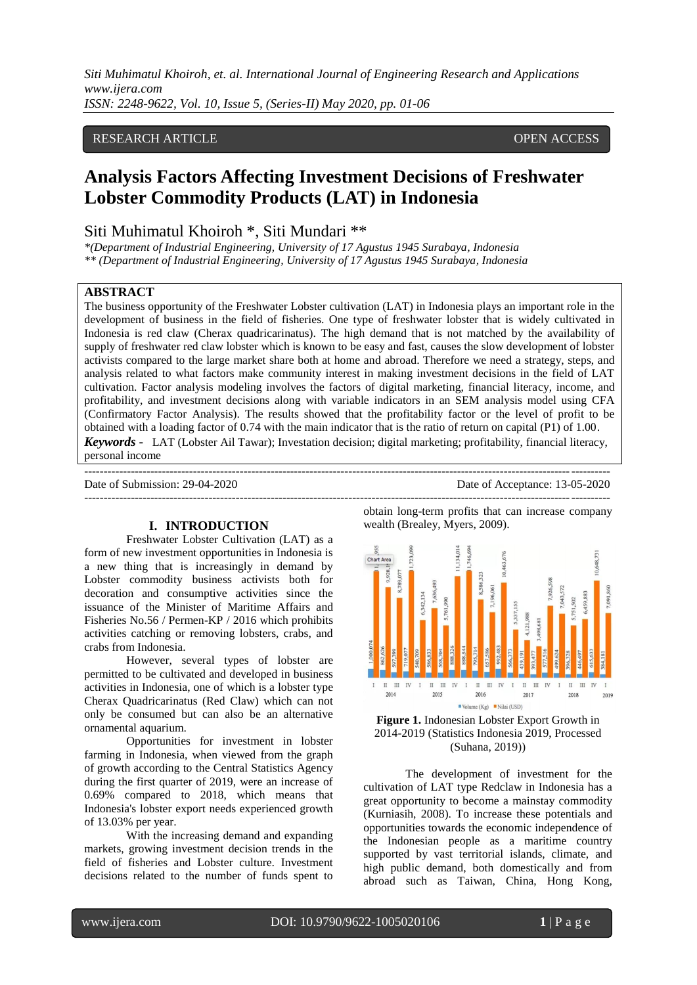*Siti Muhimatul Khoiroh, et. al. International Journal of Engineering Research and Applications www.ijera.com ISSN: 2248-9622, Vol. 10, Issue 5, (Series-II) May 2020, pp. 01-06*

# RESEARCH ARTICLE **CONSERVERS** OPEN ACCESS

# **Analysis Factors Affecting Investment Decisions of Freshwater Lobster Commodity Products (LAT) in Indonesia**

# Siti Muhimatul Khoiroh \*, Siti Mundari \*\*

*\*(Department of Industrial Engineering, University of 17 Agustus 1945 Surabaya, Indonesia \*\* (Department of Industrial Engineering, University of 17 Agustus 1945 Surabaya, Indonesia*

#### **ABSTRACT**

The business opportunity of the Freshwater Lobster cultivation (LAT) in Indonesia plays an important role in the development of business in the field of fisheries. One type of freshwater lobster that is widely cultivated in Indonesia is red claw (Cherax quadricarinatus). The high demand that is not matched by the availability of supply of freshwater red claw lobster which is known to be easy and fast, causes the slow development of lobster activists compared to the large market share both at home and abroad. Therefore we need a strategy, steps, and analysis related to what factors make community interest in making investment decisions in the field of LAT cultivation. Factor analysis modeling involves the factors of digital marketing, financial literacy, income, and profitability, and investment decisions along with variable indicators in an SEM analysis model using CFA (Confirmatory Factor Analysis). The results showed that the profitability factor or the level of profit to be obtained with a loading factor of 0.74 with the main indicator that is the ratio of return on capital (P1) of 1.00. *Keywords* **-** LAT (Lobster Ail Tawar); Investation decision; digital marketing; profitability, financial literacy, personal income

--------------------------------------------------------------------------------------------------------------------------------------- ---------------------------------------------------------------------------------------------------------------------------------------

#### **I. INTRODUCTION**

Freshwater Lobster Cultivation (LAT) as a form of new investment opportunities in Indonesia is a new thing that is increasingly in demand by Lobster commodity business activists both for decoration and consumptive activities since the issuance of the Minister of Maritime Affairs and Fisheries No.56 / Permen-KP / 2016 which prohibits activities catching or removing lobsters, crabs, and crabs from Indonesia.

However, several types of lobster are permitted to be cultivated and developed in business activities in Indonesia, one of which is a lobster type Cherax Quadricarinatus (Red Claw) which can not only be consumed but can also be an alternative ornamental aquarium.

Opportunities for investment in lobster farming in Indonesia, when viewed from the graph of growth according to the Central Statistics Agency during the first quarter of 2019, were an increase of 0.69% compared to 2018, which means that Indonesia's lobster export needs experienced growth of 13.03% per year.

With the increasing demand and expanding markets, growing investment decision trends in the field of fisheries and Lobster culture. Investment decisions related to the number of funds spent to

Date of Submission: 29-04-2020 Date of Acceptance: 13-05-2020

0.648.731 Chart Area  $\mathbb{I}$   $\mathbb{II}$  IV  $\mathbb{I}$   $\mathbb{II}$  IV  $\mathbb{H}$   $\mathbb{H}$  $\rm I$  $\;$  I  $\;$  I IV  $\;$  I  $\mathbb{I}$   $\mathbb{II}$ IV  $\rm H$  $\mathbf{H}$ IV 2015 2016 2017 2014 2018 2019 Volume (Kg) Nilai (USD)

obtain long-term profits that can increase company

wealth (Brealey, Myers, 2009).

**Figure 1.** Indonesian Lobster Export Growth in 2014-2019 (Statistics Indonesia 2019, Processed (Suhana, 2019))

The development of investment for the cultivation of LAT type Redclaw in Indonesia has a great opportunity to become a mainstay commodity (Kurniasih, 2008). To increase these potentials and opportunities towards the economic independence of the Indonesian people as a maritime country supported by vast territorial islands, climate, and high public demand, both domestically and from abroad such as Taiwan, China, Hong Kong,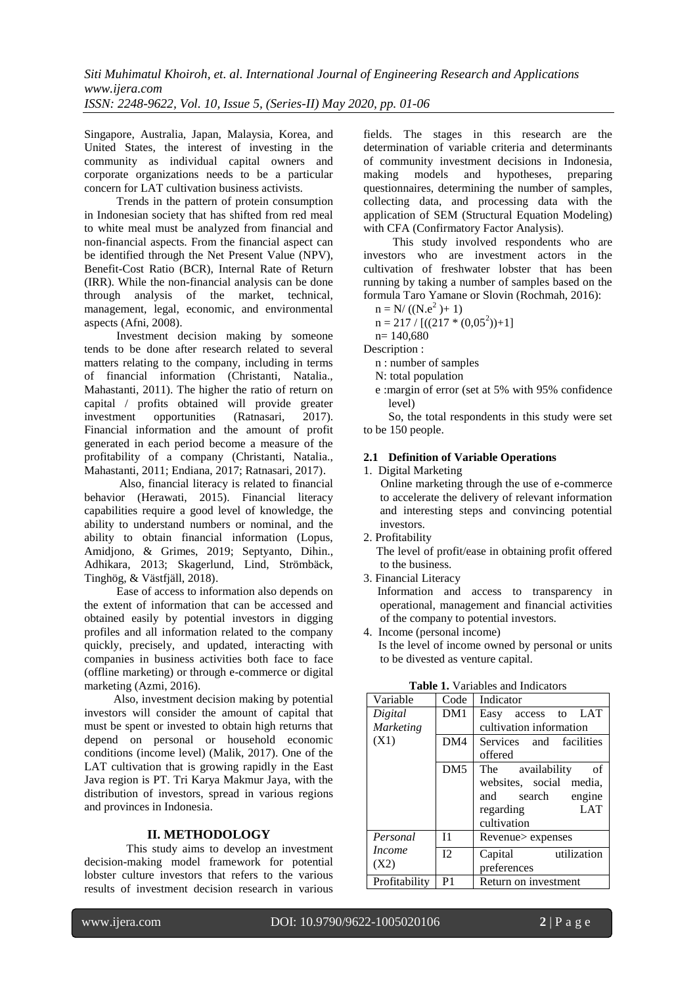Singapore, Australia, Japan, Malaysia, Korea, and United States, the interest of investing in the community as individual capital owners and corporate organizations needs to be a particular concern for LAT cultivation business activists.

 Trends in the pattern of protein consumption in Indonesian society that has shifted from red meal to white meal must be analyzed from financial and non-financial aspects. From the financial aspect can be identified through the Net Present Value (NPV), Benefit-Cost Ratio (BCR), Internal Rate of Return (IRR). While the non-financial analysis can be done through analysis of the market, technical, management, legal, economic, and environmental aspects (Afni, 2008).

 Investment decision making by someone tends to be done after research related to several matters relating to the company, including in terms of financial information (Christanti, Natalia., Mahastanti, 2011). The higher the ratio of return on capital / profits obtained will provide greater investment opportunities (Ratnasari, 2017). Financial information and the amount of profit generated in each period become a measure of the profitability of a company (Christanti, Natalia., Mahastanti, 2011; Endiana, 2017; Ratnasari, 2017).

 Also, financial literacy is related to financial behavior (Herawati, 2015). Financial literacy capabilities require a good level of knowledge, the ability to understand numbers or nominal, and the ability to obtain financial information (Lopus, Amidjono, & Grimes, 2019; Septyanto, Dihin., Adhikara, 2013; Skagerlund, Lind, Strömbäck, Tinghög, & Västfjäll, 2018).

 Ease of access to information also depends on the extent of information that can be accessed and obtained easily by potential investors in digging profiles and all information related to the company quickly, precisely, and updated, interacting with companies in business activities both face to face (offline marketing) or through e-commerce or digital marketing (Azmi, 2016).

 Also, investment decision making by potential investors will consider the amount of capital that must be spent or invested to obtain high returns that depend on personal or household economic conditions (income level) (Malik, 2017). One of the LAT cultivation that is growing rapidly in the East Java region is PT. Tri Karya Makmur Jaya, with the distribution of investors, spread in various regions and provinces in Indonesia.

# **II. METHODOLOGY**

This study aims to develop an investment decision-making model framework for potential lobster culture investors that refers to the various results of investment decision research in various

fields. The stages in this research are the determination of variable criteria and determinants of community investment decisions in Indonesia,<br>making models and hypotheses, preparing making models and hypotheses, preparing questionnaires, determining the number of samples, collecting data, and processing data with the application of SEM (Structural Equation Modeling) with CFA (Confirmatory Factor Analysis).

 This study involved respondents who are investors who are investment actors in the cultivation of freshwater lobster that has been running by taking a number of samples based on the formula Taro Yamane or Slovin (Rochmah, 2016):

$$
n = N/((N.e2) + 1)
$$

 $n = 217 / [( (217 * (0.05<sup>2</sup>)) + 1 ]$ 

n= 140,680

Description :

n : number of samples

- N: total population
- e :margin of error (set at 5% with 95% confidence level)

So, the total respondents in this study were set to be 150 people.

## **2.1 Definition of Variable Operations**

1. Digital Marketing

 Online marketing through the use of e-commerce to accelerate the delivery of relevant information and interesting steps and convincing potential investors.

2. Profitability

 The level of profit/ease in obtaining profit offered to the business.

3. Financial Literacy

Information and access to transparency in operational, management and financial activities of the company to potential investors.

4. Income (personal income) Is the level of income owned by personal or units to be divested as venture capital.

| Variable      | Code            | Indicator               |  |  |  |  |
|---------------|-----------------|-------------------------|--|--|--|--|
| Digital       | DM1             | Easy access to LAT      |  |  |  |  |
| Marketing     |                 | cultivation information |  |  |  |  |
| (X1)          | DM4             | Services and facilities |  |  |  |  |
|               |                 | offered                 |  |  |  |  |
|               | DM <sub>5</sub> | The availability<br>οf  |  |  |  |  |
|               |                 | websites, social media, |  |  |  |  |
|               |                 | and search<br>engine    |  |  |  |  |
|               |                 | <b>LAT</b><br>regarding |  |  |  |  |
|               |                 | cultivation             |  |  |  |  |
| Personal      | I <sub>1</sub>  | Revenue > expenses      |  |  |  |  |
| <i>Income</i> | 12              | utilization<br>Capital  |  |  |  |  |
| (X2)          |                 | preferences             |  |  |  |  |
| Profitability | P <sub>1</sub>  | Return on investment    |  |  |  |  |
|               |                 |                         |  |  |  |  |

**Table 1.** Variables and Indicators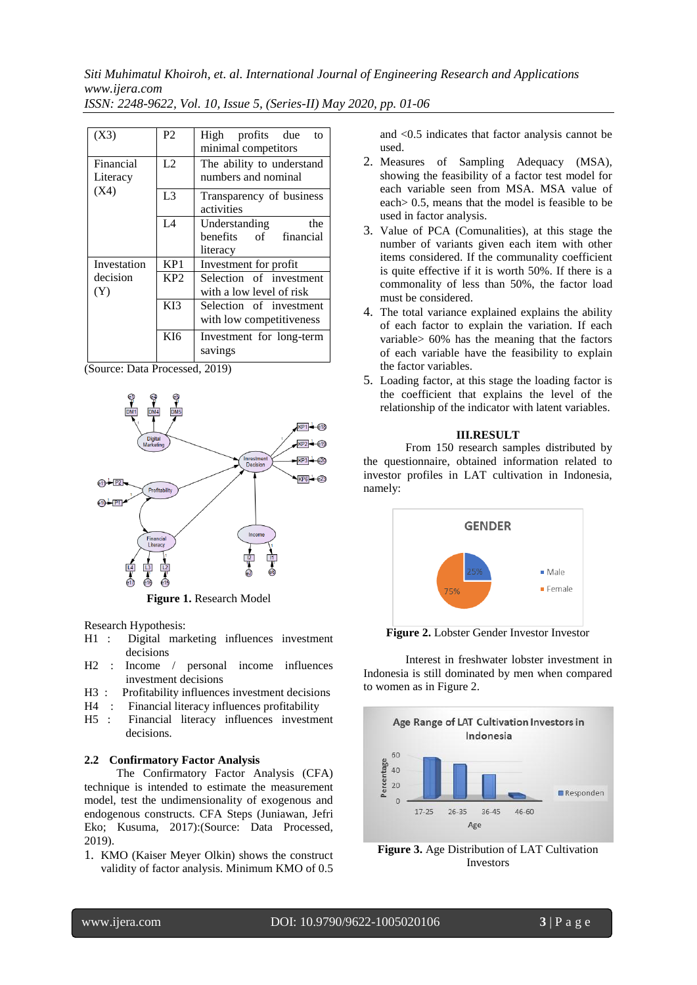*Siti Muhimatul Khoiroh, et. al. International Journal of Engineering Research and Applications www.ijera.com*

| ISSN: 2248-9622, Vol. 10, Issue 5, (Series-II) May 2020, pp. 01-06 |  |  |  |  |  |  |
|--------------------------------------------------------------------|--|--|--|--|--|--|
|--------------------------------------------------------------------|--|--|--|--|--|--|

| (X3)                  | P2               | High profits due<br>to<br>minimal competitors             |  |  |  |
|-----------------------|------------------|-----------------------------------------------------------|--|--|--|
| Financial<br>Literacy | L2               | The ability to understand<br>numbers and nominal          |  |  |  |
| (X4)                  | L <sub>3</sub>   | Transparency of business<br>activities                    |  |  |  |
|                       | IA               | Understanding<br>the<br>benefits of financial<br>literacy |  |  |  |
| Investation           | KP1              | Investment for profit                                     |  |  |  |
| decision<br>(Y)       | KP <sub>2</sub>  | Selection of investment<br>with a low level of risk       |  |  |  |
|                       | K <sub>I</sub> 3 | Selection of investment<br>with low competitiveness       |  |  |  |
|                       | KI <sub>6</sub>  | Investment for long-term<br>savings                       |  |  |  |

(Source: Data Processed, 2019)



Research Hypothesis:

- H1 : Digital marketing influences investment decisions
- H2 : Income / personal income influences investment decisions
- H3 : Profitability influences investment decisions
- H4 : Financial literacy influences profitability
- H5 : Financial literacy influences investment decisions.

### **2.2 Confirmatory Factor Analysis**

The Confirmatory Factor Analysis (CFA) technique is intended to estimate the measurement model, test the undimensionality of exogenous and endogenous constructs. CFA Steps (Juniawan, Jefri Eko; Kusuma, 2017):(Source: Data Processed, 2019).

1. KMO (Kaiser Meyer Olkin) shows the construct validity of factor analysis. Minimum KMO of 0.5

and <0.5 indicates that factor analysis cannot be used.

- 2. Measures of Sampling Adequacy (MSA), showing the feasibility of a factor test model for each variable seen from MSA. MSA value of each> 0.5, means that the model is feasible to be used in factor analysis.
- 3. Value of PCA (Comunalities), at this stage the number of variants given each item with other items considered. If the communality coefficient is quite effective if it is worth 50%. If there is a commonality of less than 50%, the factor load must be considered.
- 4. The total variance explained explains the ability of each factor to explain the variation. If each variable> 60% has the meaning that the factors of each variable have the feasibility to explain the factor variables.
- 5. Loading factor, at this stage the loading factor is the coefficient that explains the level of the relationship of the indicator with latent variables.

#### **III.RESULT**

From 150 research samples distributed by the questionnaire, obtained information related to investor profiles in LAT cultivation in Indonesia, namely:



**Figure 2.** Lobster Gender Investor Investor

Interest in freshwater lobster investment in Indonesia is still dominated by men when compared to women as in Figure 2.



**Figure 3.** Age Distribution of LAT Cultivation Investors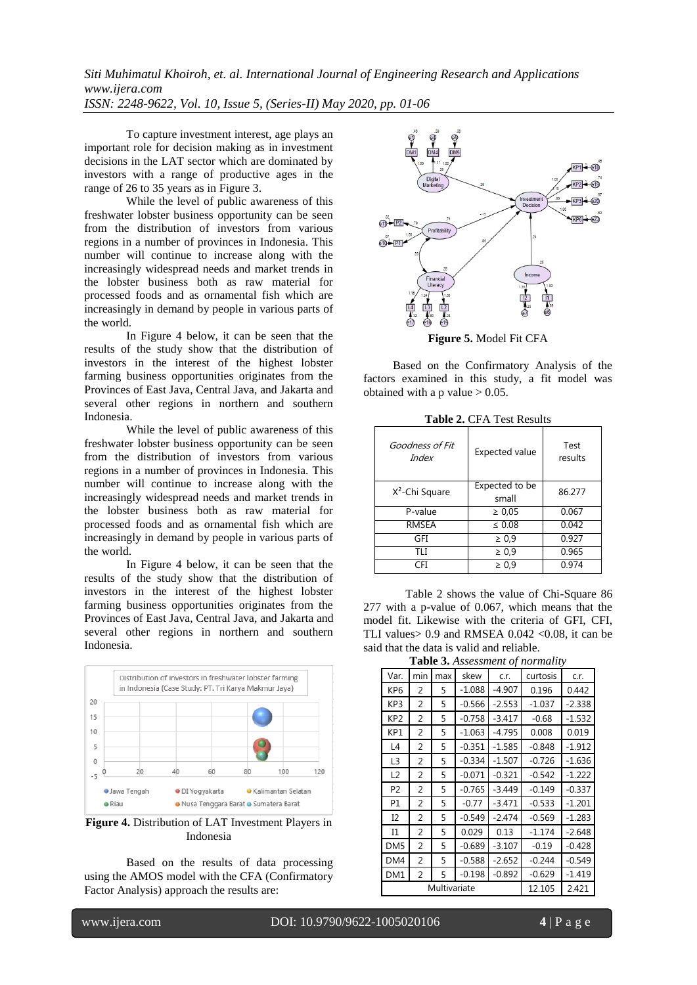*Siti Muhimatul Khoiroh, et. al. International Journal of Engineering Research and Applications www.ijera.com ISSN: 2248-9622, Vol. 10, Issue 5, (Series-II) May 2020, pp. 01-06*

To capture investment interest, age plays an important role for decision making as in investment decisions in the LAT sector which are dominated by investors with a range of productive ages in the range of 26 to 35 years as in Figure 3.

While the level of public awareness of this freshwater lobster business opportunity can be seen from the distribution of investors from various regions in a number of provinces in Indonesia. This number will continue to increase along with the increasingly widespread needs and market trends in the lobster business both as raw material for processed foods and as ornamental fish which are increasingly in demand by people in various parts of the world.

In Figure 4 below, it can be seen that the results of the study show that the distribution of investors in the interest of the highest lobster farming business opportunities originates from the Provinces of East Java, Central Java, and Jakarta and several other regions in northern and southern Indonesia.

While the level of public awareness of this freshwater lobster business opportunity can be seen from the distribution of investors from various regions in a number of provinces in Indonesia. This number will continue to increase along with the increasingly widespread needs and market trends in the lobster business both as raw material for processed foods and as ornamental fish which are increasingly in demand by people in various parts of the world.

In Figure 4 below, it can be seen that the results of the study show that the distribution of investors in the interest of the highest lobster farming business opportunities originates from the Provinces of East Java, Central Java, and Jakarta and several other regions in northern and southern Indonesia.



**Figure 4.** Distribution of LAT Investment Players in Indonesia

Based on the results of data processing using the AMOS model with the CFA (Confirmatory Factor Analysis) approach the results are:



 Based on the Confirmatory Analysis of the factors examined in this study, a fit model was obtained with a p value  $> 0.05$ .

| Goodness of Fit<br>Index   | Expected value          | Test<br>results |
|----------------------------|-------------------------|-----------------|
| X <sup>2</sup> -Chi Square | Expected to be<br>small | 86.277          |
| P-value                    | $\geq 0.05$             | 0.067           |
| <b>RMSEA</b>               | $\leq 0.08$             | 0.042           |
| GFI                        | $\geq 0.9$              | 0.927           |
| TI I                       | $\geq 0.9$              | 0.965           |
| ≘FI                        | $\geq 0.9$              | 0.974           |

**Table 2.** CFA Test Results

Table 2 shows the value of Chi-Square 86 277 with a p-value of 0.067, which means that the model fit. Likewise with the criteria of GFI, CFI, TLI values  $> 0.9$  and RMSEA 0.042 < 0.08, it can be said that the data is valid and reliable.

**Table 3.** *Assessment of normality*

| <b>Lable 5.</b> Assessment of normality |     |     |          |          |          |          |
|-----------------------------------------|-----|-----|----------|----------|----------|----------|
| Var.                                    | min | max | skew     | c.r.     | curtosis | c.r.     |
| KP <sub>6</sub>                         | 2   | 5   | $-1.088$ | $-4.907$ | 0.196    | 0.442    |
| KP3                                     | 2   | 5   | $-0.566$ | $-2.553$ | $-1.037$ | $-2.338$ |
| KP <sub>2</sub>                         | 2   | 5   | $-0.758$ | $-3.417$ | $-0.68$  | $-1.532$ |
| KP1                                     | 2   | 5   | $-1.063$ | $-4.795$ | 0.008    | 0.019    |
| L4                                      | 2   | 5   | $-0.351$ | $-1.585$ | $-0.848$ | $-1.912$ |
| L <sub>3</sub>                          | 2   | 5   | $-0.334$ | $-1.507$ | $-0.726$ | $-1.636$ |
| L2                                      | 2   | 5   | $-0.071$ | $-0.321$ | $-0.542$ | $-1.222$ |
| P <sub>2</sub>                          | 2   | 5   | $-0.765$ | $-3.449$ | $-0.149$ | $-0.337$ |
| P1                                      | 2   | 5   | $-0.77$  | $-3.471$ | $-0.533$ | $-1.201$ |
| I2                                      | 2   | 5   | $-0.549$ | $-2.474$ | $-0.569$ | $-1.283$ |
| Ι1                                      | 2   | 5   | 0.029    | 0.13     | $-1.174$ | $-2.648$ |
| DM <sub>5</sub>                         | 2   | 5   | $-0.689$ | $-3.107$ | $-0.19$  | $-0.428$ |
| DM4                                     | 2   | 5   | $-0.588$ | $-2.652$ | $-0.244$ | $-0.549$ |
| DM1                                     | 2   | 5   | $-0.198$ | $-0.892$ | $-0.629$ | $-1.419$ |
| Multivariate                            |     |     | 12.105   | 2.421    |          |          |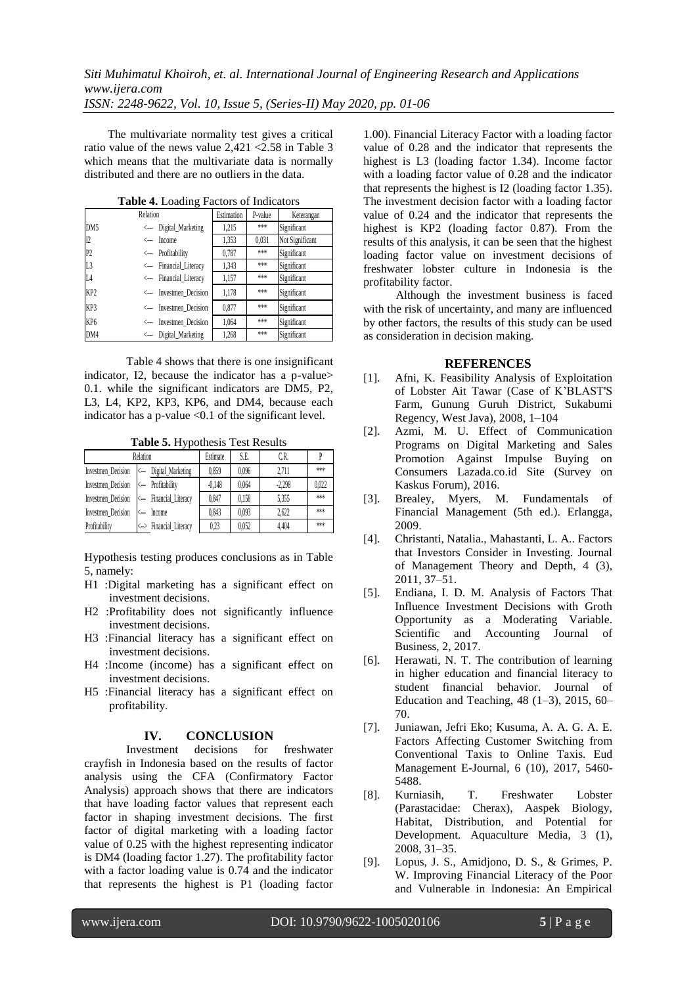The multivariate normality test gives a critical ratio value of the news value 2,421 <2.58 in Table 3 which means that the multivariate data is normally distributed and there are no outliers in the data.

| <b>Table +:</b> Loading I actors of Indicators |                         |            |         |                 |  |  |
|------------------------------------------------|-------------------------|------------|---------|-----------------|--|--|
|                                                | Relation                | Estimation | P-value | Keterangan      |  |  |
| DM <sub>5</sub>                                | <--- Digital Marketing  | 1,215      | ***     | Significant     |  |  |
| I2                                             | <--- Income             | 1.353      | 0.031   | Not Significant |  |  |
| P <sub>2</sub>                                 | <--- Profitability      | 0,787      | ***     | Significant     |  |  |
| L <sub>3</sub>                                 | <--- Financial_Literacy | 1,343      | ***     | Significant     |  |  |
| L4                                             | <--- Financial Literacy | 1,157      | ***     | Significant     |  |  |
| KP <sub>2</sub>                                | <--- Investmen Decision | 1,178      | ***     | Significant     |  |  |
| KP3                                            | <--- Investmen Decision | 0,877      | ***     | Significant     |  |  |
| KP <sub>6</sub>                                | <--- Investmen Decision | 1,064      | ***     | Significant     |  |  |
| DM4                                            | <-- Digital Marketing   | 1,268      | ***     | Significant     |  |  |

**Table 4.** Loading Factors of Indicators

Table 4 shows that there is one insignificant indicator, I2, because the indicator has a p-value> 0.1. while the significant indicators are DM5, P2, L3, L4, KP2, KP3, KP6, and DM4, because each indicator has a p-value <0.1 of the significant level.

**Table 5.** Hypothesis Test Results

| Relation           | Estimate                                   | S.E.     | C.R.  |          |       |
|--------------------|--------------------------------------------|----------|-------|----------|-------|
| Investmen_Decision | <-- Digital_Marketing                      | 0.859    | 0.096 | 2.711    | ***   |
| Investmen_Decision | <-- Profitability                          | $-0.148$ | 0.064 | $-2.298$ | 0.022 |
|                    | Investmen_Decision <--- Financial_Literacy | 0.847    | 0.158 | 5.355    | ***   |
| Investmen_Decision | <-- Income                                 | 0.843    | 0.093 | 2.622    | ***   |
| Profitability      | <-> Financial Literacy                     | 0.23     | 0.052 | 4.404    | ***   |

Hypothesis testing produces conclusions as in Table 5, namely:

- H1 :Digital marketing has a significant effect on investment decisions.
- H2 :Profitability does not significantly influence investment decisions.
- H3 :Financial literacy has a significant effect on investment decisions.
- H4 :Income (income) has a significant effect on investment decisions.
- H5 :Financial literacy has a significant effect on profitability.

# **IV. CONCLUSION**<br>Investment decisions for

decisions for freshwater crayfish in Indonesia based on the results of factor analysis using the CFA (Confirmatory Factor Analysis) approach shows that there are indicators that have loading factor values that represent each factor in shaping investment decisions. The first factor of digital marketing with a loading factor value of 0.25 with the highest representing indicator is DM4 (loading factor 1.27). The profitability factor with a factor loading value is 0.74 and the indicator that represents the highest is P1 (loading factor

1.00). Financial Literacy Factor with a loading factor value of 0.28 and the indicator that represents the highest is L3 (loading factor 1.34). Income factor with a loading factor value of 0.28 and the indicator that represents the highest is I2 (loading factor 1.35). The investment decision factor with a loading factor value of 0.24 and the indicator that represents the highest is KP2 (loading factor 0.87). From the results of this analysis, it can be seen that the highest loading factor value on investment decisions of freshwater lobster culture in Indonesia is the profitability factor.

 Although the investment business is faced with the risk of uncertainty, and many are influenced by other factors, the results of this study can be used as consideration in decision making.

#### **REFERENCES**

- [1]. Afni, K. Feasibility Analysis of Exploitation of Lobster Ait Tawar (Case of K'BLAST'S Farm, Gunung Guruh District, Sukabumi Regency, West Java), 2008, 1–104
- [2]. Azmi, M. U. Effect of Communication Programs on Digital Marketing and Sales Promotion Against Impulse Buying on Consumers Lazada.co.id Site (Survey on Kaskus Forum), 2016.
- [3]. Brealey, Myers, M. Fundamentals of Financial Management (5th ed.). Erlangga, 2009.
- [4]. Christanti, Natalia., Mahastanti, L. A.. Factors that Investors Consider in Investing. Journal of Management Theory and Depth, 4 (3), 2011, 37–51.
- [5]. Endiana, I. D. M. Analysis of Factors That Influence Investment Decisions with Groth Opportunity as a Moderating Variable. Scientific and Accounting Journal of Business, 2, 2017.
- [6]. Herawati, N. T. The contribution of learning in higher education and financial literacy to student financial behavior. Journal of Education and Teaching, 48 (1–3), 2015, 60– 70.
- [7]. Juniawan, Jefri Eko; Kusuma, A. A. G. A. E. Factors Affecting Customer Switching from Conventional Taxis to Online Taxis. Eud Management E-Journal, 6 (10), 2017, 5460- 5488.
- [8]. Kurniasih, T. Freshwater Lobster (Parastacidae: Cherax), Aaspek Biology, Habitat, Distribution, and Potential for Development. Aquaculture Media, 3 (1), 2008, 31–35.
- [9]. Lopus, J. S., Amidjono, D. S., & Grimes, P. W. Improving Financial Literacy of the Poor and Vulnerable in Indonesia: An Empirical